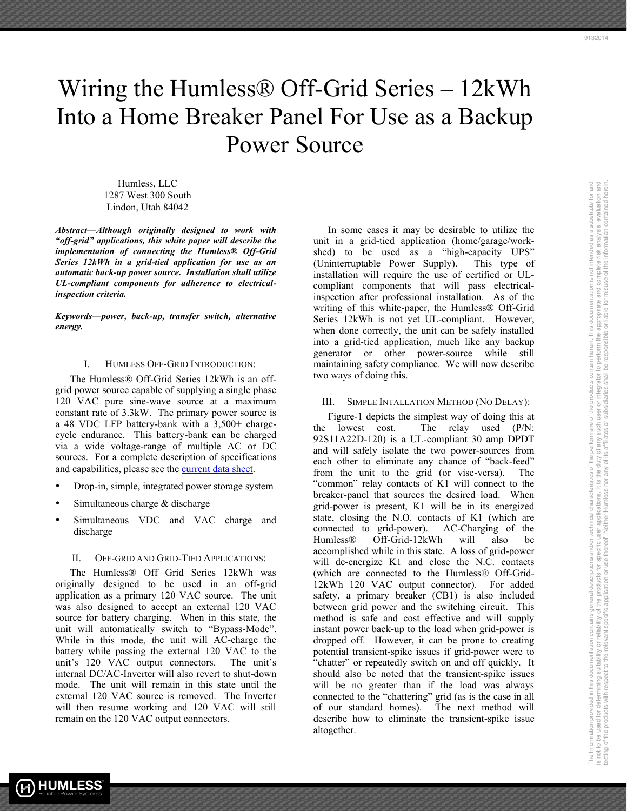The Information provided in this documentation contains general descriptions and/or technical characteristics of the performane of the products contain herein. This documentation is not intended as a substitute for and is not to be used for determining suitability of the products for specific user applications. It is the duty of any such user or integrator to perform the appropriate and complete risk analysis, evaluation and respect to the respect to the relevant specific application or use thereof. Neither Humless nor any of its affiliates or subsidiaries shall be responsible or liable for misuse of the information contained herein.

The Information provided in this documentation contains general descriptions and/or technical characteristics of the performane of the products contain herein. This documentation is not intended as a substitute for and<br>is

# Wiring the Humless® Off-Grid Series – 12kWh Into a Home Breaker Panel For Use as a Backup Power Source

Humless, LLC 1287 West 300 South Lindon, Utah 84042

*Abstract***—***Although originally designed to work with "off-grid" applications, this white paper will describe the implementation of connecting the Humless® Off-Grid Series 12kWh in a grid-tied application for use as an automatic back-up power source. Installation shall utilize UL-compliant components for adherence to electricalinspection criteria.*

*Keywords—power, back-up, transfer switch, alternative energy.*

### I. HUMLESS OFF-GRID INTRODUCTION:

The Humless® Off-Grid Series 12kWh is an offgrid power source capable of supplying a single phase 120 VAC pure sine-wave source at a maximum constant rate of 3.3kW. The primary power source is a 48 VDC LFP battery-bank with a 3,500+ chargecycle endurance. This battery-bank can be charged via a wide voltage-range of multiple AC or DC sources. For a complete description of specifications and capabilities, please see the current data sheet.

- Drop-in, simple, integrated power storage system
- Simultaneous charge  $&$  discharge
- Simultaneous VDC and VAC charge and discharge

# II. OFF-GRID AND GRID-TIED APPLICATIONS:

The Humless® Off Grid Series 12kWh was originally designed to be used in an off-grid application as a primary 120 VAC source. The unit was also designed to accept an external 120 VAC source for battery charging. When in this state, the unit will automatically switch to "Bypass-Mode". While in this mode, the unit will AC-charge the battery while passing the external 120 VAC to the unit's 120 VAC output connectors. The unit's internal DC/AC-Inverter will also revert to shut-down mode. The unit will remain in this state until the external 120 VAC source is removed. The Inverter will then resume working and 120 VAC will still remain on the 120 VAC output connectors.

In some cases it may be desirable to utilize the unit in a grid-tied application (home/garage/workshed) to be used as a "high-capacity UPS" (Uninterruptable Power Supply). This type of installation will require the use of certified or ULcompliant components that will pass electricalinspection after professional installation. As of the writing of this white-paper, the Humless® Off-Grid Series 12kWh is not yet UL-compliant. However, when done correctly, the unit can be safely installed into a grid-tied application, much like any backup generator or other power-source while still maintaining safety compliance. We will now describe two ways of doing this.

#### III. SIMPLE INTALLATION METHOD (NO DELAY):

Figure-1 depicts the simplest way of doing this at the lowest cost. The relay used (P/N: 92S11A22D-120) is a UL-compliant 30 amp DPDT and will safely isolate the two power-sources from each other to eliminate any chance of "back-feed" from the unit to the grid (or vise-versa). The "common" relay contacts of K1 will connect to the breaker-panel that sources the desired load. When grid-power is present, K1 will be in its energized state, closing the N.O. contacts of K1 (which are connected to grid-power). AC-Charging of the Humless® Off-Grid-12kWh will also be accomplished while in this state. A loss of grid-power will de-energize K1 and close the N.C. contacts (which are connected to the Humless® Off-Grid-12kWh 120 VAC output connector). For added safety, a primary breaker (CB1) is also included between grid power and the switching circuit. This method is safe and cost effective and will supply instant power back-up to the load when grid-power is dropped off. However, it can be prone to creating potential transient-spike issues if grid-power were to "chatter" or repeatedly switch on and off quickly. It should also be noted that the transient-spike issues will be no greater than if the load was always connected to the "chattering" grid (as is the case in all of our standard homes). The next method will describe how to eliminate the transient-spike issue altogether.